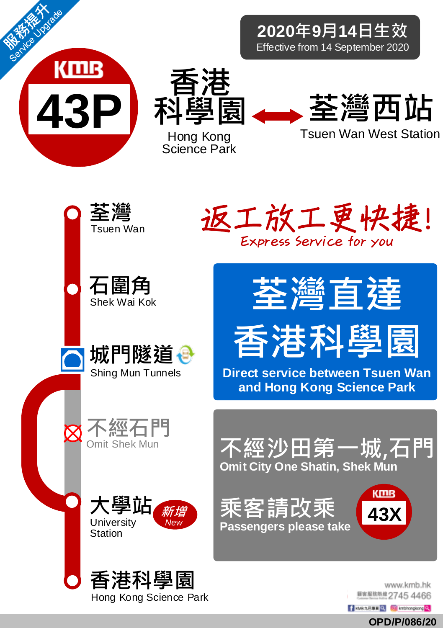



Hong Kong Science Park



**2020年9月14日生效** Effective from 14 September 2020

Tsuen Wan West Station





返工放工更快捷! Express Service for you





**Direct service between Tsuen Wan and Hong Kong Science Park** 

**不經沙田第一城,石門**

**Omit City One Shatin, Shek Mun**

**Passengers please take**



**城門隧道** Shing Mun Tunnels





www.kmb.hk ■客服務熱線 2745 4466

**KmB** 

F RUSAESE Q. 3 Inthoneions Q.

**OPD/P/086/20**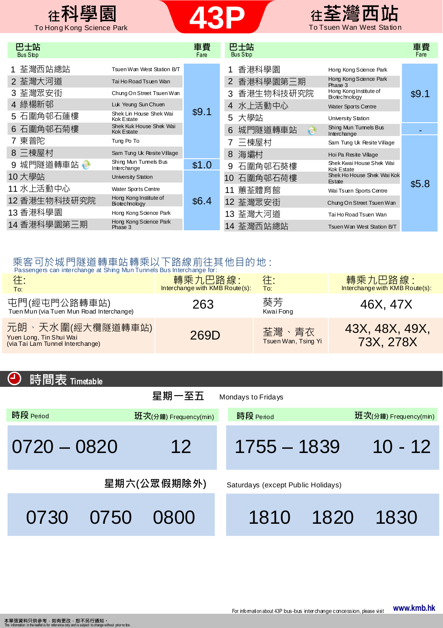



| 巴士站<br><b>Bus Stop</b> |                                         | 車費<br>Fare | 巴士站<br>Bus Stop |                                         | 車費<br>Fare |
|------------------------|-----------------------------------------|------------|-----------------|-----------------------------------------|------------|
| 荃灣西站總站                 | Tsuen Wan West Station B/T              |            | 香港科學園           | Hong Kong Science Park                  |            |
| 2 荃灣大河道                | Tai Ho Road Tsuen Wan                   |            | 香港科學園第三期<br>2   | Hong Kong Science Park<br>Phase 3       |            |
| 3 荃灣眾安街                | Chung On Street Tsuen Wan               |            | 香港生物科技研究院<br>3  | Hong Kong Institute of<br>Biotechnology | \$9.1      |
| 4 綠楊新邨                 | Luk Yeung Sun Chuen                     |            | 4 水上活動中心        | <b>Water Sports Centre</b>              |            |
| 5 石圍角邨石蓮樓              | Shek Lin House Shek Wai<br>Kok Estate   | \$9.1      | 5 大學站           | University Station                      |            |
| 6 石圍角邨石菊樓              | Shek Kuk House Shek Wai<br>Kok Estate   |            | 城門隧道轉車站<br>6    | Shing Mun Tunnels Bus<br>Interchange    |            |
| 7 東普陀                  | Tung Po To                              |            | 7 三棟屋村          | Sam Tung Uk Resite Village              |            |
| 8 三棟屋村                 | Sam Tung Uk Resite Village              |            | 海壩村<br>8        | Hoi Pa Resite Village                   |            |
| 9 城門隧道轉車站 ●            | Shing Mun Tunnels Bus<br>Interchange    | \$1.0      | 石圍角邨石葵樓<br>9    | Shek Kwai House Shek Wai<br>Kok Estate  |            |
| 10 大學站                 | <b>University Station</b>               |            | 石圍角邨石荷樓<br>10   | Shek Ho House Shek Wai Kok<br>Estate    |            |
| 11 水上活動中心              | Water Sports Centre                     |            | 薫荃體育館           | Wai Tsuen Sports Centre                 | \$5.8      |
| 12 香港生物科技研究院           | Hong Kong Institute of<br>Biotechnology | \$6.4      | 12 荃灣眾安街        | Chung On Street Tsuen Wan               |            |
| 13 香港科學園               | Hong Kong Science Park                  |            | 13 荃灣大河道        | Tai Ho Road Tsuen Wan                   |            |
| 14 香港科學園第三期            | Hong Kong Science Park<br>Phase 3       |            | 荃灣西站總站<br>14    | Tsuen Wan West Station B/T              |            |

## 乘客可於城門隧道轉車站轉乘以下路線前往其他目的地 :

| Passengers can interchange at Shing Mun Tunnels Bus Interchange for: |                                |                     |                                |  |
|----------------------------------------------------------------------|--------------------------------|---------------------|--------------------------------|--|
| 往:                                                                   | 轉乘九巴路線:                        | 往:                  | 轉乘九巴路線:                        |  |
| To:                                                                  | Interchange with KMB Route(s): | To:                 | Interchange with KMB Route(s): |  |
| 屯門(經屯門公路轉車站)<br>Tuen Mun (via Tuen Mun Road Interchange)             | 263                            | 葵芳<br>Kwai Fong     | 46X, 47X                       |  |
| 元朗、天水圍(經大欖隧道轉車站)                                                     | 269D                           | 荃灣、青衣               | 43X, 48X, 49X,                 |  |
| Yuen Long, Tin Shui Wai<br>(via Tai Lam Tunnel Interchange)          |                                | Tsuen Wan, Tsing Yi | 73X, 278X                      |  |

| 時間表 Timetable |      |                       |                                    |      |                       |
|---------------|------|-----------------------|------------------------------------|------|-----------------------|
|               |      | 星期一至五                 | Mondays to Fridays                 |      |                       |
| 時段 Period     |      | 班次(分鐘) Frequency(min) | 時段 Period                          |      | 班次(分鐘) Frequency(min) |
| $0720 - 0820$ |      | 12                    | $1755 - 1839$                      |      | $10 - 12$             |
| 星期六(公眾假期除外)   |      |                       | Saturdays (except Public Holidays) |      |                       |
| 0730          | 0750 | 0800                  | 1810                               | 1820 | 1830                  |